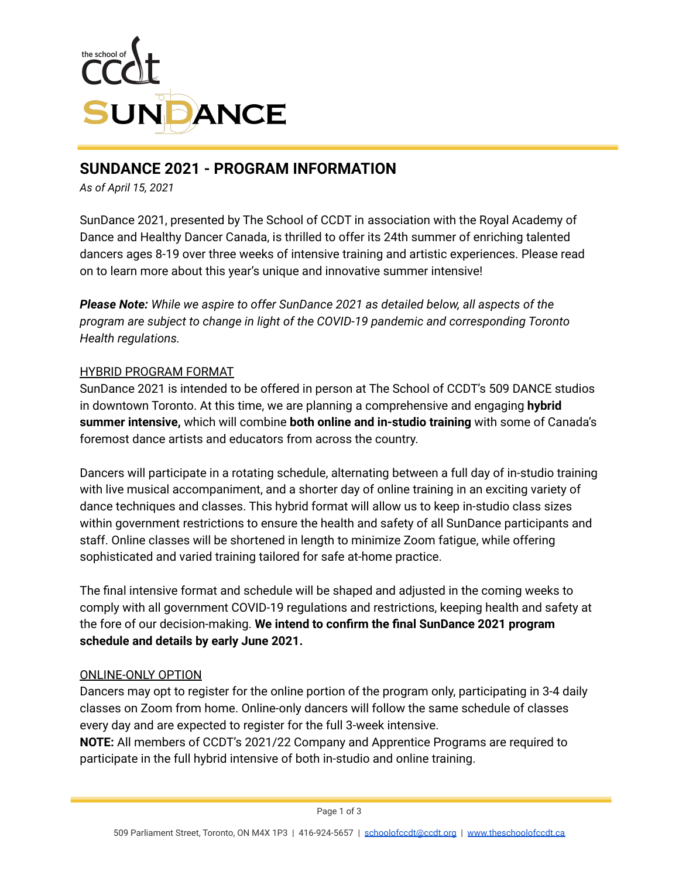

# **SUNDANCE 2021 - PROGRAM INFORMATION**

*As of April 15, 2021*

SunDance 2021, presented by The School of CCDT in association with the Royal Academy of Dance and Healthy Dancer Canada, is thrilled to offer its 24th summer of enriching talented dancers ages 8-19 over three weeks of intensive training and artistic experiences. Please read on to learn more about this year's unique and innovative summer intensive!

*Please Note: While we aspire to offer SunDance 2021 as detailed below, all aspects of the program are subject to change in light of the COVID-19 pandemic and corresponding Toronto Health regulations.*

## HYBRID PROGRAM FORMAT

SunDance 2021 is intended to be offered in person at The School of CCDT's 509 DANCE studios in downtown Toronto. At this time, we are planning a comprehensive and engaging **hybrid summer intensive,** which will combine **both online and in-studio training** with some of Canada's foremost dance artists and educators from across the country.

Dancers will participate in a rotating schedule, alternating between a full day of in-studio training with live musical accompaniment, and a shorter day of online training in an exciting variety of dance techniques and classes. This hybrid format will allow us to keep in-studio class sizes within government restrictions to ensure the health and safety of all SunDance participants and staff. Online classes will be shortened in length to minimize Zoom fatigue, while offering sophisticated and varied training tailored for safe at-home practice.

The final intensive format and schedule will be shaped and adjusted in the coming weeks to comply with all government COVID-19 regulations and restrictions, keeping health and safety at the fore of our decision-making. **We intend to confirm the final SunDance 2021 program schedule and details by early June 2021.**

### ONLINE-ONLY OPTION

Dancers may opt to register for the online portion of the program only, participating in 3-4 daily classes on Zoom from home. Online-only dancers will follow the same schedule of classes every day and are expected to register for the full 3-week intensive.

**NOTE:** All members of CCDT's 2021/22 Company and Apprentice Programs are required to participate in the full hybrid intensive of both in-studio and online training.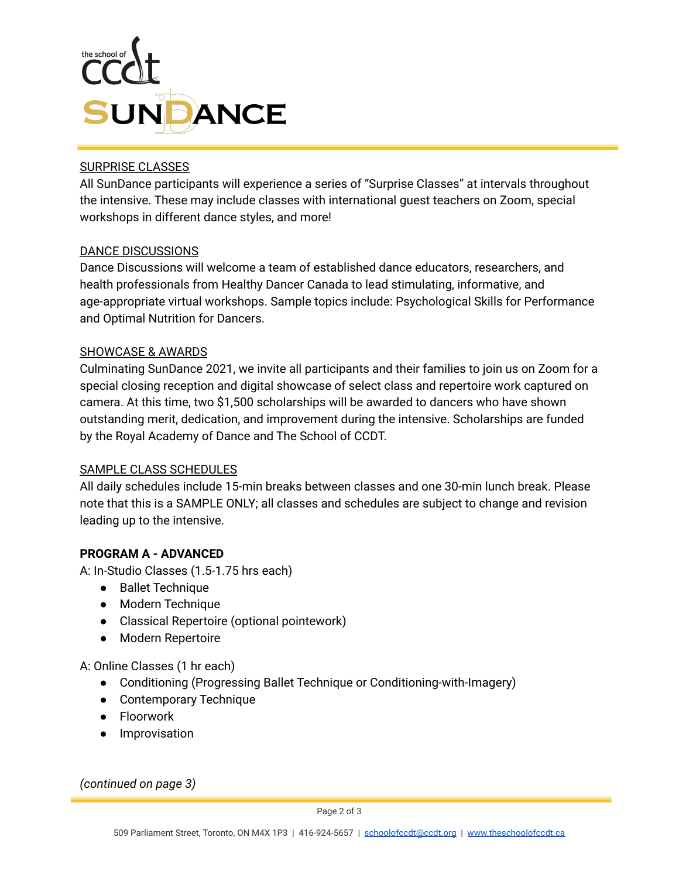

### SURPRISE CLASSES

All SunDance participants will experience a series of "Surprise Classes" at intervals throughout the intensive. These may include classes with international guest teachers on Zoom, special workshops in different dance styles, and more!

### DANCE DISCUSSIONS

Dance Discussions will welcome a team of established dance educators, researchers, and health professionals from Healthy Dancer Canada to lead stimulating, informative, and age-appropriate virtual workshops. Sample topics include: Psychological Skills for Performance and Optimal Nutrition for Dancers.

### SHOWCASE & AWARDS

Culminating SunDance 2021, we invite all participants and their families to join us on Zoom for a special closing reception and digital showcase of select class and repertoire work captured on camera. At this time, two \$1,500 scholarships will be awarded to dancers who have shown outstanding merit, dedication, and improvement during the intensive. Scholarships are funded by the Royal Academy of Dance and The School of CCDT.

### SAMPLE CLASS SCHEDULES

All daily schedules include 15-min breaks between classes and one 30-min lunch break. Please note that this is a SAMPLE ONLY; all classes and schedules are subject to change and revision leading up to the intensive.

# **PROGRAM A - ADVANCED**

A: In-Studio Classes (1.5-1.75 hrs each)

- Ballet Technique
- Modern Technique
- Classical Repertoire (optional pointework)
- Modern Repertoire

### A: Online Classes (1 hr each)

- Conditioning (Progressing Ballet Technique or Conditioning-with-Imagery)
- Contemporary Technique
- Floorwork
- Improvisation

*(continued on page 3)*

Page 2 of 3